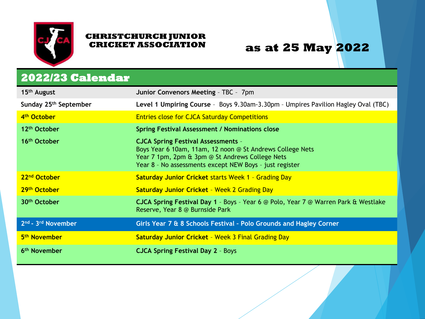

#### **as at 25 May 2022**

#### **2022/23 Calendar**

| 15 <sup>th</sup> August                    | Junior Convenors Meeting - TBC - 7pm                                                                                                                                                                                 |
|--------------------------------------------|----------------------------------------------------------------------------------------------------------------------------------------------------------------------------------------------------------------------|
| Sunday 25 <sup>th</sup> September          | Level 1 Umpiring Course - Boys 9.30am-3.30pm - Umpires Pavilion Hagley Oval (TBC)                                                                                                                                    |
| 4 <sup>th</sup> October                    | <b>Entries close for CJCA Saturday Competitions</b>                                                                                                                                                                  |
| 12 <sup>th</sup> October                   | <b>Spring Festival Assessment / Nominations close</b>                                                                                                                                                                |
| 16 <sup>th</sup> October                   | <b>CJCA Spring Festival Assessments -</b><br>Boys Year 6 10am, 11am, 12 noon @ St Andrews College Nets<br>Year 7 1pm, 2pm & 3pm @ St Andrews College Nets<br>Year 8 - No assessments except NEW Boys - just register |
| 22 <sup>nd</sup> October                   | <b>Saturday Junior Cricket starts Week 1 - Grading Day</b>                                                                                                                                                           |
| 29 <sup>th</sup> October                   | <b>Saturday Junior Cricket - Week 2 Grading Day</b>                                                                                                                                                                  |
| 30 <sup>th</sup> October                   | <b>CJCA Spring Festival Day 1</b> - Boys - Year 6 @ Polo, Year 7 @ Warren Park & Westlake<br>Reserve, Year 8 @ Burnside Park                                                                                         |
| 2 <sup>nd</sup> - 3 <sup>rd</sup> November | Girls Year 7 & 8 Schools Festival - Polo Grounds and Hagley Corner                                                                                                                                                   |
| 5 <sup>th</sup> November                   | <b>Saturday Junior Cricket - Week 3 Final Grading Day</b>                                                                                                                                                            |
| 6 <sup>th</sup> November                   | <b>CJCA Spring Festival Day 2 - Boys</b>                                                                                                                                                                             |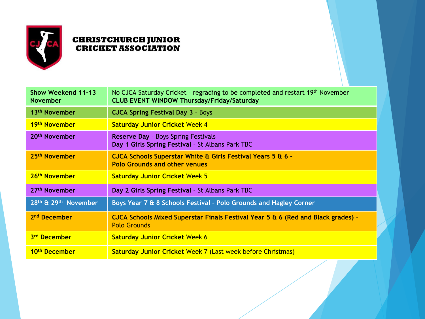

| <b>Show Weekend 11-13</b><br><b>November</b> | No CJCA Saturday Cricket - regrading to be completed and restart 19th November<br><b>CLUB EVENT WINDOW Thursday/Friday/Saturday</b> |
|----------------------------------------------|-------------------------------------------------------------------------------------------------------------------------------------|
| 13 <sup>th</sup> November                    | <b>CJCA Spring Festival Day 3 - Boys</b>                                                                                            |
| 19 <sup>th</sup> November                    | <b>Saturday Junior Cricket Week 4</b>                                                                                               |
| 20 <sup>th</sup> November                    | <b>Reserve Day - Boys Spring Festivals</b><br>Day 1 Girls Spring Festival - St Albans Park TBC                                      |
| 25 <sup>th</sup> November                    | CJCA Schools Superstar White & Girls Festival Years 5 & 6 -<br><b>Polo Grounds and other venues</b>                                 |
| 26 <sup>th</sup> November                    | <b>Saturday Junior Cricket Week 5</b>                                                                                               |
| 27 <sup>th</sup> November                    | Day 2 Girls Spring Festival - St Albans Park TBC                                                                                    |
| 28th & 29th November                         | Boys Year 7 & 8 Schools Festival - Polo Grounds and Hagley Corner                                                                   |
| 2 <sup>nd</sup> December                     | CJCA Schools Mixed Superstar Finals Festival Year $5$ & 6 (Red and Black grades) -<br><b>Polo Grounds</b>                           |
| 3rd December                                 | <b>Saturday Junior Cricket Week 6</b>                                                                                               |
| 10th December                                | <b>Saturday Junior Cricket Week 7 (Last week before Christmas)</b>                                                                  |
|                                              |                                                                                                                                     |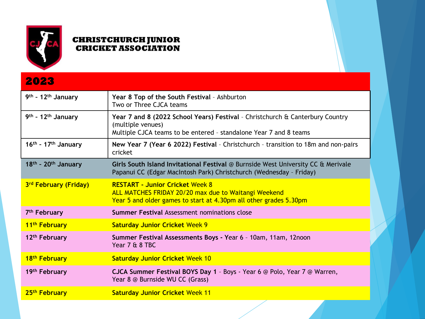

| 2023                              |                                                                                                                                                                         |
|-----------------------------------|-------------------------------------------------------------------------------------------------------------------------------------------------------------------------|
| 9th - 12th January                | Year 8 Top of the South Festival - Ashburton<br>Two or Three CJCA teams                                                                                                 |
| 9th - 12th January                | Year 7 and 8 (2022 School Years) Festival - Christchurch & Canterbury Country<br>(multiple venues)<br>Multiple CJCA teams to be entered - standalone Year 7 and 8 teams |
| $16th$ - 17 <sup>th</sup> January | New Year 7 (Year 6 2022) Festival - Christchurch - transition to 18m and non-pairs<br>cricket                                                                           |
| $18th$ - 20 <sup>th</sup> January | Girls South Island Invitational Festival @ Burnside West University CC & Merivale<br>Papanui CC (Edgar MacIntosh Park) Christchurch (Wednesday - Friday)                |
| 3rd February (Friday)             | <b>RESTART - Junior Cricket Week 8</b><br>ALL MATCHES FRIDAY 20/20 max due to Waitangi Weekend<br>Year 5 and older games to start at 4.30pm all other grades 5.30pm     |
| 7 <sup>th</sup> February          | <b>Summer Festival Assessment nominations close</b>                                                                                                                     |
| 11 <sup>th</sup> February         | <b>Saturday Junior Cricket Week 9</b>                                                                                                                                   |
| 12 <sup>th</sup> February         | Summer Festival Assessments Boys - Year 6 - 10am, 11am, 12noon<br>Year 7 & 8 TBC                                                                                        |
| 18 <sup>th</sup> February         | <b>Saturday Junior Cricket Week 10</b>                                                                                                                                  |
| 19 <sup>th</sup> February         | CJCA Summer Festival BOYS Day 1 - Boys - Year 6 @ Polo, Year 7 @ Warren,<br>Year 8 @ Burnside WU CC (Grass)                                                             |
| 25 <sup>th</sup> February         | <b>Saturday Junior Cricket Week 11</b>                                                                                                                                  |